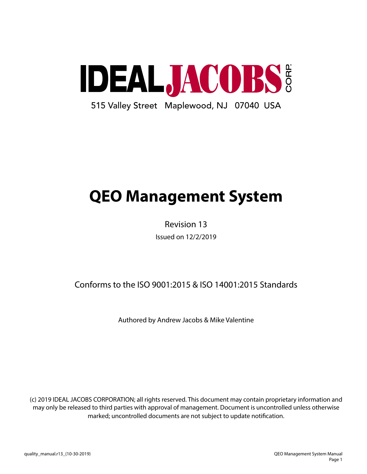

# **QEO Management System**

Revision 13 Issued on 12/2/2019

Conforms to the ISO 9001:2015 & ISO 14001:2015 Standards

Authored by Andrew Jacobs & Mike Valentine

(c) 2019 IDEAL JACOBS CORPORATION; all rights reserved. This document may contain proprietary information and may only be released to third parties with approval of management. Document is uncontrolled unless otherwise marked; uncontrolled documents are not subject to update notification.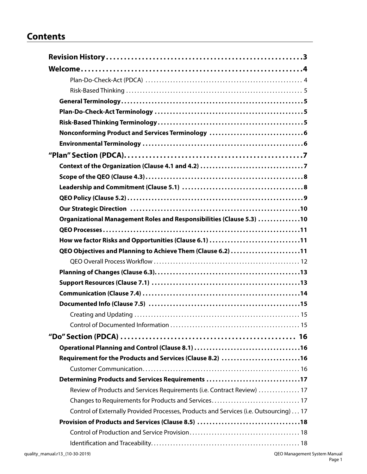# **Contents**

| Nonconforming Product and Services Terminology 6                                      |
|---------------------------------------------------------------------------------------|
|                                                                                       |
|                                                                                       |
|                                                                                       |
|                                                                                       |
|                                                                                       |
|                                                                                       |
|                                                                                       |
| Organizational Management Roles and Responsibilities (Clause 5.3) 10                  |
|                                                                                       |
| How we factor Risks and Opportunities (Clause 6.1) 11                                 |
| QEO Objectives and Planning to Achieve Them (Clause 6.2) 11                           |
|                                                                                       |
|                                                                                       |
|                                                                                       |
|                                                                                       |
|                                                                                       |
|                                                                                       |
|                                                                                       |
|                                                                                       |
|                                                                                       |
| Requirement for the Products and Services (Clause 8.2) 16                             |
|                                                                                       |
| Determining Products and Services Requirements 17                                     |
| Review of Products and Services Requirements (i.e. Contract Review)  17               |
|                                                                                       |
| Control of Externally Provided Processes, Products and Services (i.e. Outsourcing) 17 |
|                                                                                       |
|                                                                                       |
|                                                                                       |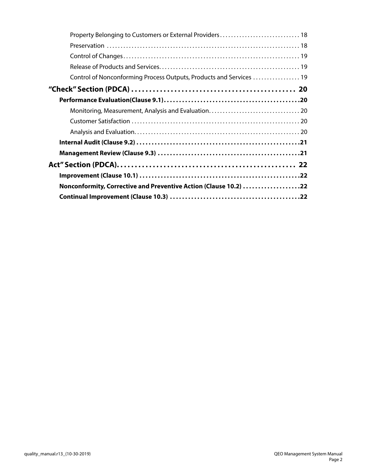| Control of Nonconforming Process Outputs, Products and Services  19 |
|---------------------------------------------------------------------|
|                                                                     |
|                                                                     |
|                                                                     |
|                                                                     |
|                                                                     |
|                                                                     |
|                                                                     |
|                                                                     |
|                                                                     |
| Nonconformity, Corrective and Preventive Action (Clause 10.2) 22    |
|                                                                     |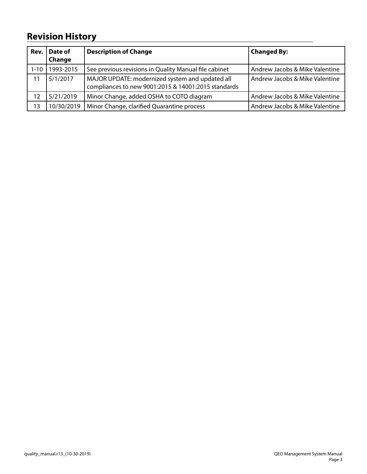# **Revision History**

| Rev.     | Date of<br>Change | <b>Description of Change</b>                                                                           | <b>Changed By:</b>             |
|----------|-------------------|--------------------------------------------------------------------------------------------------------|--------------------------------|
| $1 - 10$ | 1993-2015         | See previous revisions in Quality Manual file cabinet                                                  | Andrew Jacobs & Mike Valentine |
| 11       | 5/1/2017          | MAJOR UPDATE: modernized system and updated all<br>compliances to new 9001:2015 & 14001:2015 standards | Andrew Jacobs & Mike Valentine |
| 12       | 5/21/2019         | Minor Change, added OSHA to COTO diagram                                                               | Andrew Jacobs & Mike Valentine |
| 13       | 10/30/2019        | Minor Change, clarified Quarantine process                                                             | Andrew Jacobs & Mike Valentine |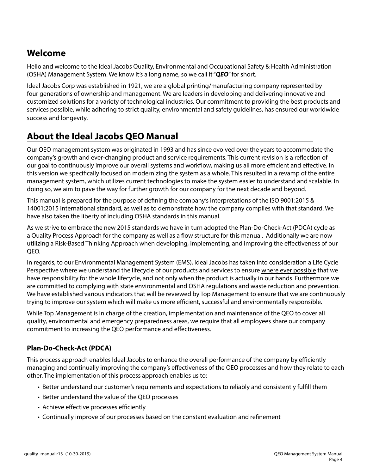# **Welcome**

Hello and welcome to the Ideal Jacobs Quality, Environmental and Occupational Safety & Health Administration (OSHA) Management System. We know it's a long name, so we call it "*QEO*" for short.

Ideal Jacobs Corp was established in 1921, we are a global printing/manufacturing company represented by four generations of ownership and management. We are leaders in developing and delivering innovative and customized solutions for a variety of technological industries. Our commitment to providing the best products and services possible, while adhering to strict quality, environmental and safety guidelines, has ensured our worldwide success and longevity.

# **About the Ideal Jacobs QEO Manual**

Our QEO management system was originated in 1993 and has since evolved over the years to accommodate the company's growth and ever-changing product and service requirements. This current revision is a reflection of our goal to continuously improve our overall systems and workflow, making us all more efficient and effective. In this version we specifically focused on modernizing the system as a whole. This resulted in a revamp of the entire management system, which utilizes current technologies to make the system easier to understand and scalable. In doing so, we aim to pave the way for further growth for our company for the next decade and beyond.

This manual is prepared for the purpose of defining the company's interpretations of the ISO 9001:2015 & 14001:2015 international standard, as well as to demonstrate how the company complies with that standard. We have also taken the liberty of including OSHA standards in this manual.

As we strive to embrace the new 2015 standards we have in turn adopted the Plan-Do-Check-Act (PDCA) cycle as a Quality Process Approach for the company as well as a flow structure for this manual. Additionally we are now utilizing a Risk-Based Thinking Approach when developing, implementing, and improving the effectiveness of our QEO.

In regards, to our Environmental Management System (EMS), Ideal Jacobs has taken into consideration a Life Cycle Perspective where we understand the lifecycle of our products and services to ensure where ever possible that we have responsibility for the whole lifecycle, and not only when the product is actually in our hands. Furthermore we are committed to complying with state environmental and OSHA regulations and waste reduction and prevention. We have established various indicators that will be reviewed by Top Management to ensure that we are continuously trying to improve our system which will make us more efficient, successful and environmentally responsible.

While Top Management is in charge of the creation, implementation and maintenance of the QEO to cover all quality, environmental and emergency preparedness areas, we require that all employees share our company commitment to increasing the QEO performance and effectiveness.

# **Plan-Do-Check-Act (PDCA)**

This process approach enables Ideal Jacobs to enhance the overall performance of the company by efficiently managing and continually improving the company's effectiveness of the QEO processes and how they relate to each other. The implementation of this process approach enables us to:

- Better understand our customer's requirements and expectations to reliably and consistently fulfill them
- Better understand the value of the QEO processes
- Achieve effective processes efficiently
- Continually improve of our processes based on the constant evaluation and refinement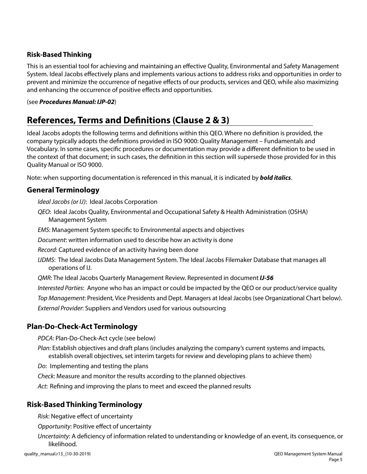### **Risk-Based Thinking**

This is an essential tool for achieving and maintaining an effective Quality, Environmental and Safety Management System. Ideal Jacobs effectively plans and implements various actions to address risks and opportunities in order to prevent and minimize the occurrence of negative effects of our products, services and QEO, while also maximizing and enhancing the occurrence of positive effects and opportunities.

#### (see *Procedures Manual: IJP-02*)

# **References, Terms and Definitions (Clause 2 & 3)**

Ideal Jacobs adopts the following terms and definitions within this QEO. Where no definition is provided, the company typically adopts the definitions provided in ISO 9000: Quality Management – Fundamentals and Vocabulary. In some cases, specific procedures or documentation may provide a different definition to be used in the context of that document; in such cases, the definition in this section will supersede those provided for in this Quality Manual or ISO 9000.

Note: when supporting documentation is referenced in this manual, it is indicated by *bold italics*.

# **General Terminology**

*Ideal Jacobs (or IJ)*: Ideal Jacobs Corporation

*QEO*: Ideal Jacobs Quality, Environmental and Occupational Safety & Health Administration (OSHA) Management System

*EMS*: Management System specific to Environmental aspects and objectives

*Document*: written information used to describe how an activity is done

*Record*: Captured evidence of an activity having been done

*IJDMS*: The Ideal Jacobs Data Management System. The Ideal Jacobs Filemaker Database that manages all operations of IJ.

*QMR*: The Ideal Jacobs Quarterly Management Review. Represented in document *IJ-56*

*Interested Parties*: Anyone who has an impact or could be impacted by the QEO or our product/service quality *Top Management*: President, Vice Presidents and Dept. Managers at Ideal Jacobs (see Organizational Chart below). *External Provider*: Suppliers and Vendors used for various outsourcing

# **Plan-Do-Check-Act Terminology**

*PDCA*: Plan-Do-Check-Act cycle (see below)

*Plan*: Establish objectives and draft plans (includes analyzing the company's current systems and impacts, establish overall objectives, set interim targets for review and developing plans to achieve them)

*Do*: Implementing and testing the plans

*Check*: Measure and monitor the results according to the planned objectives

*Act*: Refining and improving the plans to meet and exceed the planned results

# **Risk-Based Thinking Terminology**

*Risk*: Negative effect of uncertainty

*Opportunity*: Positive effect of uncertainty

*Uncertainty*: A deficiency of information related to understanding or knowledge of an event, its consequence, or likelihood.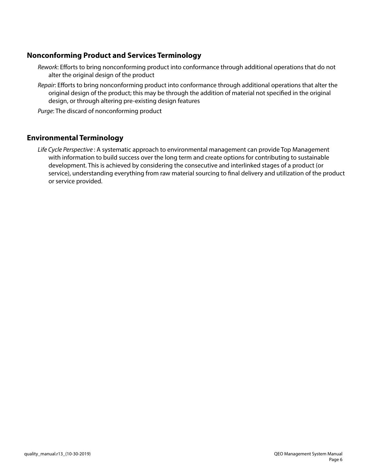# **Nonconforming Product and Services Terminology**

- *Rework*: Efforts to bring nonconforming product into conformance through additional operations that do not alter the original design of the product
- *Repair*: Efforts to bring nonconforming product into conformance through additional operations that alter the original design of the product; this may be through the addition of material not specified in the original design, or through altering pre-existing design features

*Purge*: The discard of nonconforming product

# **Environmental Terminology**

*Life Cycle Perspective* : A systematic approach to environmental management can provide Top Management with information to build success over the long term and create options for contributing to sustainable development. This is achieved by considering the consecutive and interlinked stages of a product (or service), understanding everything from raw material sourcing to final delivery and utilization of the product or service provided.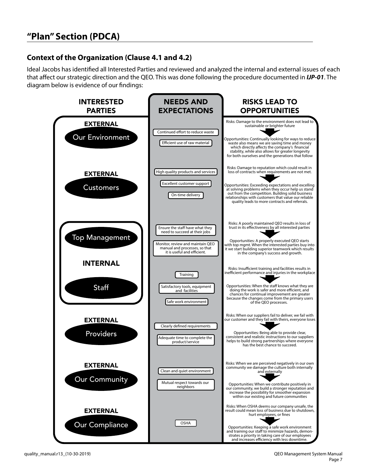# **Context of the Organization (Clause 4.1 and 4.2)**

Ideal Jacobs has identified all Interested Parties and reviewed and analyzed the internal and external issues of each that affect our strategic direction and the QEO. This was done following the procedure documented in *IJP-01*. The diagram below is evidence of our findings:

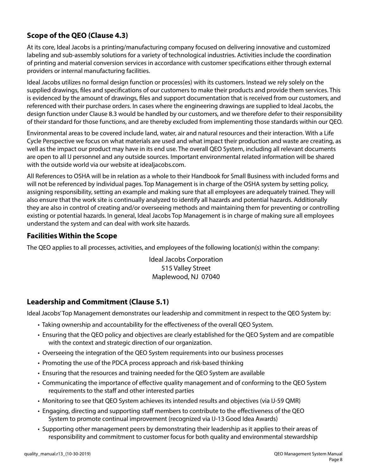# **Scope of the QEO (Clause 4.3)**

At its core, Ideal Jacobs is a printing/manufacturing company focused on delivering innovative and customized labeling and sub-assembly solutions for a variety of technological industries. Activities include the coordination of printing and material conversion services in accordance with customer specifications either through external providers or internal manufacturing facilities.

Ideal Jacobs utilizes no formal design function or process(es) with its customers. Instead we rely solely on the supplied drawings, files and specifications of our customers to make their products and provide them services. This is evidenced by the amount of drawings, files and support documentation that is received from our customers, and referenced with their purchase orders. In cases where the engineering drawings are supplied to Ideal Jacobs, the design function under Clause 8.3 would be handled by our customers, and we therefore defer to their responsibility of their standard for those functions, and are thereby excluded from implementing those standards within our QEO.

Environmental areas to be covered include land, water, air and natural resources and their interaction. With a Life Cycle Perspective we focus on what materials are used and what impact their production and waste are creating, as well as the impact our product may have in its end use. The overall QEO System, including all relevant documents are open to all IJ personnel and any outside sources. Important environmental related information will be shared with the outside world via our website at idealjacobs.com.

All References to OSHA will be in relation as a whole to their Handbook for Small Business with included forms and will not be referenced by individual pages. Top Management is in charge of the OSHA system by setting policy, assigning responsibility, setting an example and making sure that all employees are adequately trained. They will also ensure that the work site is continually analyzed to identify all hazards and potential hazards. Additionally they are also in control of creating and/or overseeing methods and maintaining them for preventing or controlling existing or potential hazards. In general, Ideal Jacobs Top Management is in charge of making sure all employees understand the system and can deal with work site hazards.

# **Facilities Within the Scope**

The QEO applies to all processes, activities, and employees of the following location(s) within the company:

Ideal Jacobs Corporation 515 Valley Street Maplewood, NJ 07040

# **Leadership and Commitment (Clause 5.1)**

Ideal Jacobs' Top Management demonstrates our leadership and commitment in respect to the QEO System by:

- Taking ownership and accountability for the effectiveness of the overall QEO System.
- Ensuring that the QEO policy and objectives are clearly established for the QEO System and are compatible with the context and strategic direction of our organization.
- Overseeing the integration of the QEO System requirements into our business processes
- Promoting the use of the PDCA process approach and risk-based thinking
- Ensuring that the resources and training needed for the QEO System are available
- Communicating the importance of effective quality management and of conforming to the QEO System requirements to the staff and other interested parties
- Monitoring to see that QEO System achieves its intended results and objectives (via IJ-59 QMR)
- Engaging, directing and supporting staff members to contribute to the effectiveness of the QEO System to promote continual improvement (recognized via IJ-13 Good Idea Awards)
- Supporting other management peers by demonstrating their leadership as it applies to their areas of responsibility and commitment to customer focus for both quality and environmental stewardship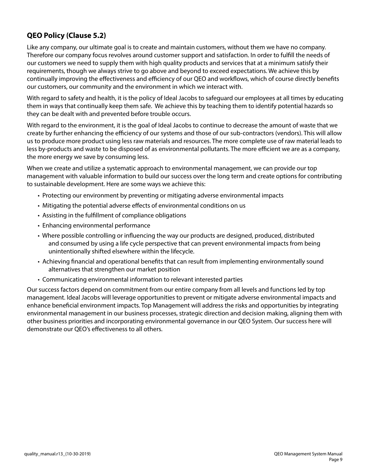# **QEO Policy (Clause 5.2)**

Like any company, our ultimate goal is to create and maintain customers, without them we have no company. Therefore our company focus revolves around customer support and satisfaction. In order to fulfill the needs of our customers we need to supply them with high quality products and services that at a minimum satisfy their requirements, though we always strive to go above and beyond to exceed expectations. We achieve this by continually improving the effectiveness and efficiency of our QEO and workflows, which of course directly benefits our customers, our community and the environment in which we interact with.

With regard to safety and health, it is the policy of Ideal Jacobs to safeguard our employees at all times by educating them in ways that continually keep them safe. We achieve this by teaching them to identify potential hazards so they can be dealt with and prevented before trouble occurs.

With regard to the environment, it is the goal of Ideal Jacobs to continue to decrease the amount of waste that we create by further enhancing the efficiency of our systems and those of our sub-contractors (vendors). This will allow us to produce more product using less raw materials and resources. The more complete use of raw material leads to less by-products and waste to be disposed of as environmental pollutants. The more efficient we are as a company, the more energy we save by consuming less.

When we create and utilize a systematic approach to environmental management, we can provide our top management with valuable information to build our success over the long term and create options for contributing to sustainable development. Here are some ways we achieve this:

- Protecting our environment by preventing or mitigating adverse environmental impacts
- Mitigating the potential adverse effects of environmental conditions on us
- Assisting in the fulfillment of compliance obligations
- Enhancing environmental performance
- Where possible controlling or influencing the way our products are designed, produced, distributed and consumed by using a life cycle perspective that can prevent environmental impacts from being unintentionally shifted elsewhere within the lifecycle.
- Achieving financial and operational benefits that can result from implementing environmentally sound alternatives that strengthen our market position
- Communicating environmental information to relevant interested parties

Our success factors depend on commitment from our entire company from all levels and functions led by top management. Ideal Jacobs will leverage opportunities to prevent or mitigate adverse environmental impacts and enhance beneficial environment impacts. Top Management will address the risks and opportunities by integrating environmental management in our business processes, strategic direction and decision making, aligning them with other business priorities and incorporating environmental governance in our QEO System. Our success here will demonstrate our QEO's effectiveness to all others.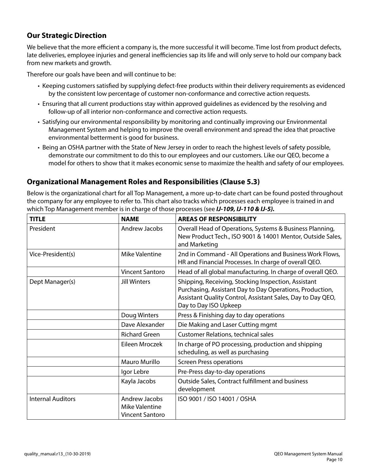# **Our Strategic Direction**

We believe that the more efficient a company is, the more successful it will become. Time lost from product defects, late deliveries, employee injuries and general inefficiencies sap its life and will only serve to hold our company back from new markets and growth.

Therefore our goals have been and will continue to be:

- Keeping customers satisfied by supplying defect-free products within their delivery requirements as evidenced by the consistent low percentage of customer non-conformance and corrective action requests.
- Ensuring that all current productions stay within approved guidelines as evidenced by the resolving and follow-up of all interior non-conformance and corrective action requests.
- Satisfying our environmental responsibility by monitoring and continually improving our Environmental Management System and helping to improve the overall environment and spread the idea that proactive environmental betterment is good for business.
- Being an OSHA partner with the State of New Jersey in order to reach the highest levels of safety possible, demonstrate our commitment to do this to our employees and our customers. Like our QEO, become a model for others to show that it makes economic sense to maximize the health and safety of our employees.

# **Organizational Management Roles and Responsibilities (Clause 5.3)**

Below is the organizational chart for all Top Management, a more up-to-date chart can be found posted throughout the company for any employee to refer to. This chart also tracks which processes each employee is trained in and which Top Management member is in charge of those processes (see *IJ-109, IJ-110 & IJ-5).*

| <b>TITLE</b>             | <b>NAME</b>                                                      | <b>AREAS OF RESPONSIBILITY</b>                                                                                                                                                                          |
|--------------------------|------------------------------------------------------------------|---------------------------------------------------------------------------------------------------------------------------------------------------------------------------------------------------------|
| President                | Andrew Jacobs                                                    | Overall Head of Operations, Systems & Business Planning,<br>New Product Tech., ISO 9001 & 14001 Mentor, Outside Sales,<br>and Marketing                                                                 |
| Vice-President(s)        | Mike Valentine                                                   | 2nd in Command - All Operations and Business Work Flows,<br>HR and Financial Processes. In charge of overall QEO.                                                                                       |
|                          | <b>Vincent Santoro</b>                                           | Head of all global manufacturing. In charge of overall QEO.                                                                                                                                             |
| Dept Manager(s)          | <b>Jill Winters</b>                                              | Shipping, Receiving, Stocking Inspection, Assistant<br>Purchasing, Assistant Day to Day Operations, Production,<br>Assistant Quality Control, Assistant Sales, Day to Day QEO,<br>Day to Day ISO Upkeep |
|                          | Doug Winters                                                     | Press & Finishing day to day operations                                                                                                                                                                 |
|                          | Dave Alexander                                                   | Die Making and Laser Cutting mgmt                                                                                                                                                                       |
|                          | <b>Richard Green</b>                                             | <b>Customer Relations, technical sales</b>                                                                                                                                                              |
|                          | Eileen Mroczek                                                   | In charge of PO processing, production and shipping<br>scheduling, as well as purchasing                                                                                                                |
|                          | <b>Mauro Murillo</b>                                             | <b>Screen Press operations</b>                                                                                                                                                                          |
|                          | Igor Lebre                                                       | Pre-Press day-to-day operations                                                                                                                                                                         |
|                          | Kayla Jacobs                                                     | Outside Sales, Contract fulfillment and business<br>development                                                                                                                                         |
| <b>Internal Auditors</b> | Andrew Jacobs<br><b>Mike Valentine</b><br><b>Vincent Santoro</b> | ISO 9001 / ISO 14001 / OSHA                                                                                                                                                                             |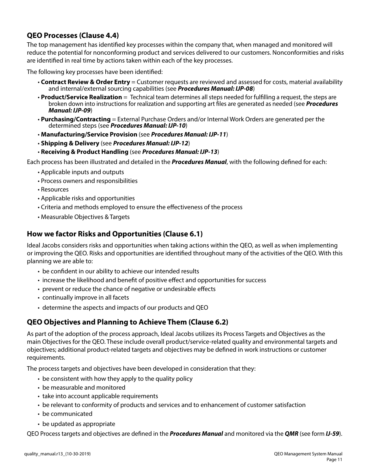# **QEO Processes (Clause 4.4)**

The top management has identified key processes within the company that, when managed and monitored will reduce the potential for nonconforming product and services delivered to our customers. Nonconformities and risks are identified in real time by actions taken within each of the key processes.

The following key processes have been identified:

- **Contract Review & Order Entry** = Customer requests are reviewed and assessed for costs, material availability and internal/external sourcing capabilities (see *Procedures Manual: IJP-08*)
- **Product/Service Realization** = Technical team determines all steps needed for fulfilling a request, the steps are broken down into instructions for realization and supporting art files are generated as needed (see *Procedures Manual: IJP-09*)
- **Purchasing/Contracting** = External Purchase Orders and/or Internal Work Orders are generated per the determined steps (see *Procedures Manual: IJP-10*)
- **Manufacturing/Service Provision** (see *Procedures Manual: IJP-11*)
- **Shipping & Delivery** (see *Procedures Manual: IJP-12*)
- **Receiving & Product Handling** (see *Procedures Manual: IJP-13*)

Each process has been illustrated and detailed in the *Procedures Manual*, with the following defined for each:

- Applicable inputs and outputs
- Process owners and responsibilities
- Resources
- Applicable risks and opportunities
- Criteria and methods employed to ensure the effectiveness of the process
- Measurable Objectives & Targets

# **How we factor Risks and Opportunities (Clause 6.1)**

Ideal Jacobs considers risks and opportunities when taking actions within the QEO, as well as when implementing or improving the QEO. Risks and opportunities are identified throughout many of the activities of the QEO. With this planning we are able to:

- be confident in our ability to achieve our intended results
- increase the likelihood and benefit of positive effect and opportunities for success
- prevent or reduce the chance of negative or undesirable effects
- continually improve in all facets
- determine the aspects and impacts of our products and QEO

# **QEO Objectives and Planning to Achieve Them (Clause 6.2)**

As part of the adoption of the process approach, Ideal Jacobs utilizes its Process Targets and Objectives as the main Objectives for the QEO. These include overall product/service-related quality and environmental targets and objectives; additional product-related targets and objectives may be defined in work instructions or customer requirements.

The process targets and objectives have been developed in consideration that they:

- be consistent with how they apply to the quality policy
- be measurable and monitored
- take into account applicable requirements
- be relevant to conformity of products and services and to enhancement of customer satisfaction
- be communicated
- be updated as appropriate

QEO Process targets and objectives are defined in the *Procedures Manual* and monitored via the *QMR* (see form *IJ-59*).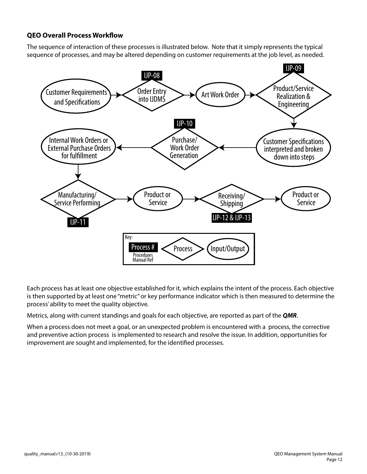#### **QEO Overall Process Workflow**

The sequence of interaction of these processes is illustrated below. Note that it simply represents the typical sequence of processes, and may be altered depending on customer requirements at the job level, as needed.



Each process has at least one objective established for it, which explains the intent of the process. Each objective is then supported by at least one "metric" or key performance indicator which is then measured to determine the process' ability to meet the quality objective.

Metrics, along with current standings and goals for each objective, are reported as part of the *QMR*.

When a process does not meet a goal, or an unexpected problem is encountered with a process, the corrective and preventive action process is implemented to research and resolve the issue. In addition, opportunities for improvement are sought and implemented, for the identified processes.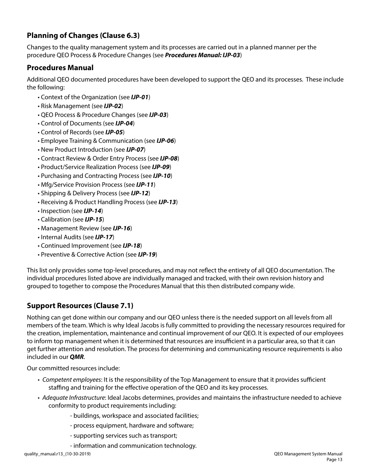# **Planning of Changes (Clause 6.3)**

Changes to the quality management system and its processes are carried out in a planned manner per the procedure QEO Process & Procedure Changes (see *Procedures Manual: IJP-03*)

# **Procedures Manual**

Additional QEO documented procedures have been developed to support the QEO and its processes. These include the following:

- Context of the Organization (see *IJP-01*)
- Risk Management (see *IJP-02*)
- QEO Process & Procedure Changes (see *IJP-03*)
- Control of Documents (see *IJP-04*)
- Control of Records (see *IJP-05*)
- Employee Training & Communication (see *IJP-06*)
- New Product Introduction (see *IJP-07*)
- Contract Review & Order Entry Process (see *IJP-08*)
- Product/Service Realization Process (see *IJP-09*)
- Purchasing and Contracting Process (see *IJP-10*)
- Mfg/Service Provision Process (see *IJP-11*)
- Shipping & Delivery Process (see *IJP-12*)
- Receiving & Product Handling Process (see *IJP-13*)
- Inspection (see *IJP-14*)
- Calibration (see *IJP-15*)
- Management Review (see *IJP-16*)
- Internal Audits (see *IJP-17*)
- Continued Improvement (see *IJP-18*)
- Preventive & Corrective Action (see *IJP-19*)

This list only provides some top-level procedures, and may not reflect the entirety of all QEO documentation. The individual procedures listed above are individually managed and tracked, with their own revision history and grouped to together to compose the Procedures Manual that this then distributed company wide.

# **Support Resources (Clause 7.1)**

Nothing can get done within our company and our QEO unless there is the needed support on all levels from all members of the team. Which is why Ideal Jacobs is fully committed to providing the necessary resources required for the creation, implementation, maintenance and continual improvement of our QEO. It is expected of our employees to inform top management when it is determined that resources are insufficient in a particular area, so that it can get further attention and resolution. The process for determining and communicating resource requirements is also included in our *QMR*.

Our committed resources include:

- *Competent employees*: It is the responsibility of the Top Management to ensure that it provides sufficient staffing and training for the effective operation of the QEO and its key processes.
- *Adequate Infrastructure*: Ideal Jacobs determines, provides and maintains the infrastructure needed to achieve conformity to product requirements including:
	- buildings, workspace and associated facilities;
	- process equipment, hardware and software;
	- supporting services such as transport;
	- information and communication technology.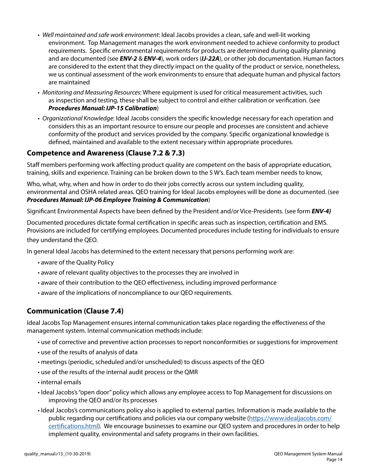- *Well maintained and safe work environment*: Ideal Jacobs provides a clean, safe and well-lit working environment. Top Management manages the work environment needed to achieve conformity to product requirements. Specific environmental requirements for products are determined during quality planning and are documented (see *ENV-2* & *ENV-4*), work orders (*IJ-22A*), or other job documentation. Human factors are considered to the extent that they directly impact on the quality of the product or service, nonetheless, we us continual assessment of the work environments to ensure that adequate human and physical factors are maintained
- *Monitoring and Measuring Resources*: Where equipment is used for critical measurement activities, such as inspection and testing, these shall be subject to control and either calibration or verification. (see *Procedures Manual: IJP-15 Calibration*)
- *Organizational Knowledge*: Ideal Jacobs considers the specific knowledge necessary for each operation and considers this as an important resource to ensure our people and processes are consistent and achieve conformity of the product and services provided by the company. Specific organizational knowledge is defined, maintained and available to the extent necessary within appropriate procedures.

# **Competence and Awareness (Clause 7.2 & 7.3)**

Staff members performing work affecting product quality are competent on the basis of appropriate education, training, skills and experience. Training can be broken down to the 5 W's. Each team member needs to know,

Who, what, why, when and how in order to do their jobs correctly across our system including quality, environmental and OSHA related areas. QEO training for Ideal Jacobs employees will be done as documented. (see *Procedures Manual: IJP-06 Employee Training & Communication*)

Significant Environmental Aspects have been defined by the President and/or Vice-Presidents. (see form *ENV-4)*

Documented procedures dictate formal certification in specific areas such as inspection, certification and EMS. Provisions are included for certifying employees. Documented procedures include testing for individuals to ensure they understand the QEO.

In general Ideal Jacobs has determined to the extent necessary that persons performing work are:

- aware of the Quality Policy
- aware of relevant quality objectives to the processes they are involved in
- aware of their contribution to the QEO effectiveness, including improved performance
- aware of the implications of noncompliance to our QEO requirements.

# **Communication (Clause 7.4)**

Ideal Jacobs Top Management ensures internal communication takes place regarding the effectiveness of the management system. Internal communication methods include:

- use of corrective and preventive action processes to report nonconformities or suggestions for improvement
- use of the results of analysis of data
- meetings (periodic, scheduled and/or unscheduled) to discuss aspects of the QEO
- use of the results of the internal audit process or the QMR
- internal emails
- Ideal Jacobs's "open door" policy which allows any employee access to Top Management for discussions on improving the QEO and/or its processes
- Ideal Jacobs's communications policy also is applied to external parties. Information is made available to the public regarding our certifications and policies via our company website (https://www.idealjacobs.com/ certifications.html). We encourage businesses to examine our QEO system and procedures in order to help implement quality, environmental and safety programs in their own facilities.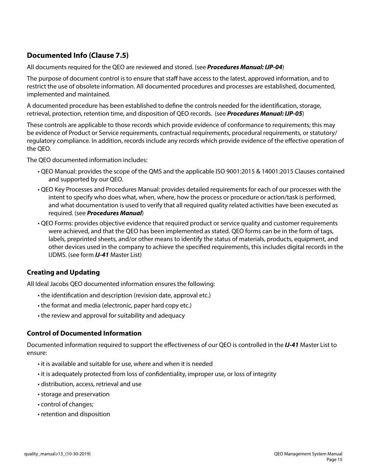# **Documented Info (Clause 7.5)**

All documents required for the QEO are reviewed and stored. (see *Procedures Manual: IJP-04*)

The purpose of document control is to ensure that staff have access to the latest, approved information, and to restrict the use of obsolete information. All documented procedures and processes are established, documented, implemented and maintained.

A documented procedure has been established to define the controls needed for the identification, storage, retrieval, protection, retention time, and disposition of QEO records. (see *Procedures Manual: IJP-05*)

These controls are applicable to those records which provide evidence of conformance to requirements; this may be evidence of Product or Service requirements, contractual requirements, procedural requirements, or statutory/ regulatory compliance. In addition, records include any records which provide evidence of the effective operation of the QEO.

The QEO documented information includes:

- QEO Manual: provides the scope of the QMS and the applicable ISO 9001:2015 & 14001:2015 Clauses contained and supported by our QEO.
- QEO Key Processes and Procedures Manual: provides detailed requirements for each of our processes with the intent to specify who does what, when, where, how the process or procedure or action/task is performed, and what documentation is used to verify that all required quality related activities have been executed as required. (see *Procedures Manual*)
- QEO Forms: provides objective evidence that required product or service quality and customer requirements were achieved, and that the QEO has been implemented as stated. QEO forms can be in the form of tags, labels, preprinted sheets, and/or other means to identify the status of materials, products, equipment, and other devices used in the company to achieve the specified requirements, this includes digital records in the IJDMS. (see form *IJ-41* Master List)

#### **Creating and Updating**

All Ideal Jacobs QEO documented information ensures the following:

- the identification and description (revision date, approval etc.)
- the format and media (electronic, paper hard copy etc.)
- the review and approval for suitability and adequacy

#### **Control of Documented Information**

Documented information required to support the effectiveness of our QEO is controlled in the *IJ-41* Master List to ensure:

- it is available and suitable for use, where and when it is needed
- it is adequately protected from loss of confidentiality, improper use, or loss of integrity
- distribution, access, retrieval and use
- storage and preservation
- control of changes;
- retention and disposition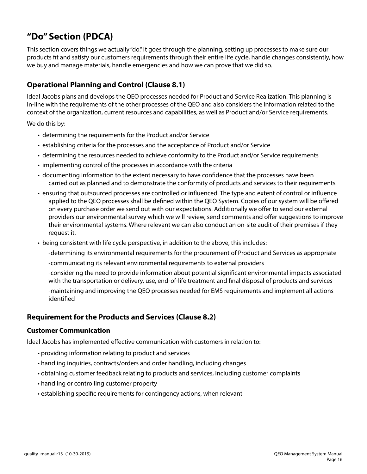# **"Do" Section (PDCA)**

This section covers things we actually "do." It goes through the planning, setting up processes to make sure our products fit and satisfy our customers requirements through their entire life cycle, handle changes consistently, how we buy and manage materials, handle emergencies and how we can prove that we did so.

# **Operational Planning and Control (Clause 8.1)**

Ideal Jacobs plans and develops the QEO processes needed for Product and Service Realization. This planning is in-line with the requirements of the other processes of the QEO and also considers the information related to the context of the organization, current resources and capabilities, as well as Product and/or Service requirements.

We do this by:

- determining the requirements for the Product and/or Service
- establishing criteria for the processes and the acceptance of Product and/or Service
- determining the resources needed to achieve conformity to the Product and/or Service requirements
- implementing control of the processes in accordance with the criteria
- documenting information to the extent necessary to have confidence that the processes have been carried out as planned and to demonstrate the conformity of products and services to their requirements
- ensuring that outsourced processes are controlled or influenced. The type and extent of control or influence applied to the QEO processes shall be defined within the QEO System. Copies of our system will be offered on every purchase order we send out with our expectations. Additionally we offer to send our external providers our environmental survey which we will review, send comments and offer suggestions to improve their environmental systems. Where relevant we can also conduct an on-site audit of their premises if they request it.
- being consistent with life cycle perspective, in addition to the above, this includes:
	- -determining its environmental requirements for the procurement of Product and Services as appropriate
	- -communicating its relevant environmental requirements to external providers
	- -considering the need to provide information about potential significant environmental impacts associated with the transportation or delivery, use, end-of-life treatment and final disposal of products and services
	- -maintaining and improving the QEO processes needed for EMS requirements and implement all actions identified

# **Requirement for the Products and Services (Clause 8.2)**

#### **Customer Communication**

Ideal Jacobs has implemented effective communication with customers in relation to:

- providing information relating to product and services
- handling inquiries, contracts/orders and order handling, including changes
- obtaining customer feedback relating to products and services, including customer complaints
- handling or controlling customer property
- establishing specific requirements for contingency actions, when relevant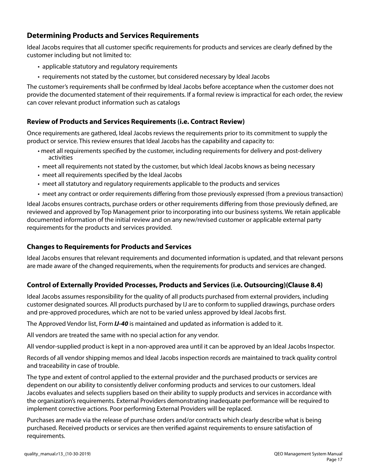# **Determining Products and Services Requirements**

Ideal Jacobs requires that all customer specific requirements for products and services are clearly defined by the customer including but not limited to:

- applicable statutory and regulatory requirements
- requirements not stated by the customer, but considered necessary by Ideal Jacobs

The customer's requirements shall be confirmed by Ideal Jacobs before acceptance when the customer does not provide the documented statement of their requirements. If a formal review is impractical for each order, the review can cover relevant product information such as catalogs

#### **Review of Products and Services Requirements (i.e. Contract Review)**

Once requirements are gathered, Ideal Jacobs reviews the requirements prior to its commitment to supply the product or service. This review ensures that Ideal Jacobs has the capability and capacity to:

- meet all requirements specified by the customer, including requirements for delivery and post-delivery activities
- meet all requirements not stated by the customer, but which Ideal Jacobs knows as being necessary
- meet all requirements specified by the Ideal Jacobs
- meet all statutory and regulatory requirements applicable to the products and services
- meet any contract or order requirements differing from those previously expressed (from a previous transaction)

Ideal Jacobs ensures contracts, purchase orders or other requirements differing from those previously defined, are reviewed and approved by Top Management prior to incorporating into our business systems. We retain applicable documented information of the initial review and on any new/revised customer or applicable external party requirements for the products and services provided.

#### **Changes to Requirements for Products and Services**

Ideal Jacobs ensures that relevant requirements and documented information is updated, and that relevant persons are made aware of the changed requirements, when the requirements for products and services are changed.

#### **Control of Externally Provided Processes, Products and Services (i.e. Outsourcing)(Clause 8.4)**

Ideal Jacobs assumes responsibility for the quality of all products purchased from external providers, including customer designated sources. All products purchased by IJ are to conform to supplied drawings, purchase orders and pre-approved procedures, which are not to be varied unless approved by Ideal Jacobs first.

The Approved Vendor list, Form *IJ-40* is maintained and updated as information is added to it.

All vendors are treated the same with no special action for any vendor.

All vendor-supplied product is kept in a non-approved area until it can be approved by an Ideal Jacobs Inspector.

Records of all vendor shipping memos and Ideal Jacobs inspection records are maintained to track quality control and traceability in case of trouble.

The type and extent of control applied to the external provider and the purchased products or services are dependent on our ability to consistently deliver conforming products and services to our customers. Ideal Jacobs evaluates and selects suppliers based on their ability to supply products and services in accordance with the organization's requirements. External Providers demonstrating inadequate performance will be required to implement corrective actions. Poor performing External Providers will be replaced.

Purchases are made via the release of purchase orders and/or contracts which clearly describe what is being purchased. Received products or services are then verified against requirements to ensure satisfaction of requirements.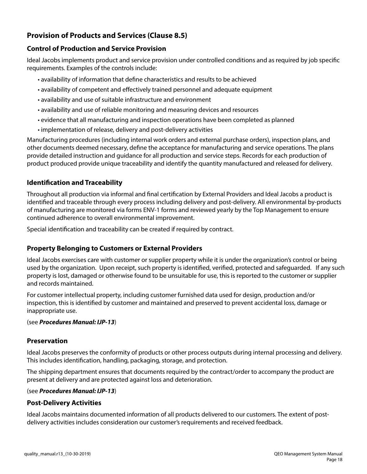# **Provision of Products and Services (Clause 8.5)**

#### **Control of Production and Service Provision**

Ideal Jacobs implements product and service provision under controlled conditions and as required by job specific requirements. Examples of the controls include:

- availability of information that define characteristics and results to be achieved
- availability of competent and effectively trained personnel and adequate equipment
- availability and use of suitable infrastructure and environment
- availability and use of reliable monitoring and measuring devices and resources
- evidence that all manufacturing and inspection operations have been completed as planned
- implementation of release, delivery and post-delivery activities

Manufacturing procedures (including internal work orders and external purchase orders), inspection plans, and other documents deemed necessary, define the acceptance for manufacturing and service operations. The plans provide detailed instruction and guidance for all production and service steps. Records for each production of product produced provide unique traceability and identify the quantity manufactured and released for delivery.

# **Identification and Traceability**

Throughout all production via informal and final certification by External Providers and Ideal Jacobs a product is identified and traceable through every process including delivery and post-delivery. All environmental by-products of manufacturing are monitored via forms ENV-1 forms and reviewed yearly by the Top Management to ensure continued adherence to overall environmental improvement.

Special identification and traceability can be created if required by contract.

# **Property Belonging to Customers or External Providers**

Ideal Jacobs exercises care with customer or supplier property while it is under the organization's control or being used by the organization. Upon receipt, such property is identified, verified, protected and safeguarded. If any such property is lost, damaged or otherwise found to be unsuitable for use, this is reported to the customer or supplier and records maintained.

For customer intellectual property, including customer furnished data used for design, production and/or inspection, this is identified by customer and maintained and preserved to prevent accidental loss, damage or inappropriate use.

#### (see *Procedures Manual: IJP-13*)

#### **Preservation**

Ideal Jacobs preserves the conformity of products or other process outputs during internal processing and delivery. This includes identification, handling, packaging, storage, and protection.

The shipping department ensures that documents required by the contract/order to accompany the product are present at delivery and are protected against loss and deterioration.

#### (see *Procedures Manual: IJP-13*)

#### **Post-Delivery Activities**

Ideal Jacobs maintains documented information of all products delivered to our customers. The extent of postdelivery activities includes consideration our customer's requirements and received feedback.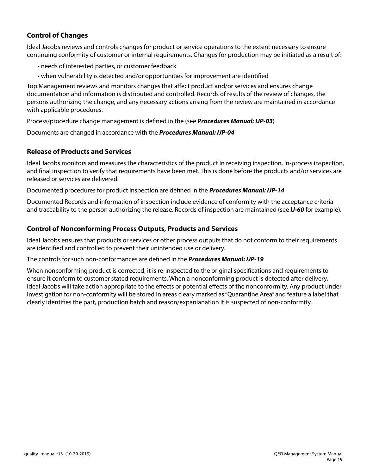#### **Control of Changes**

Ideal Jacobs reviews and controls changes for product or service operations to the extent necessary to ensure continuing conformity of customer or internal requirements. Changes for production may be initiated as a result of:

- needs of interested parties, or customer feedback
- when vulnerability is detected and/or opportunities for improvement are identified

Top Management reviews and monitors changes that affect product and/or services and ensures change documentation and information is distributed and controlled. Records of results of the review of changes, the persons authorizing the change, and any necessary actions arising from the review are maintained in accordance with applicable procedures.

Process/procedure change management is defined in the (see *Procedures Manual: IJP-03*)

Documents are changed in accordance with the *Procedures Manual: IJP-04*

#### **Release of Products and Services**

Ideal Jacobs monitors and measures the characteristics of the product in receiving inspection, in-process inspection, and final inspection to verify that requirements have been met. This is done before the products and/or services are released or services are delivered.

Documented procedures for product inspection are defined in the *Procedures Manual: IJP-14*

Documented Records and information of inspection include evidence of conformity with the acceptance criteria and traceability to the person authorizing the release. Records of inspection are maintained (see *IJ-60* for example).

#### **Control of Nonconforming Process Outputs, Products and Services**

Ideal Jacobs ensures that products or services or other process outputs that do not conform to their requirements are identified and controlled to prevent their unintended use or delivery.

#### The controls for such non-conformances are defined in the *Procedures Manual: IJP-19*

When nonconforming product is corrected, it is re-inspected to the original specifications and requirements to ensure it conform to customer stated requirements. When a nonconforming product is detected after delivery, Ideal Jacobs will take action appropriate to the effects or potential effects of the nonconformity. Any product under investigation for non-conformity will be stored in areas cleary marked as "Quarantine Area" and feature a label that clearly identifies the part, production batch and reason/expanlanation it is suspected of non-conformity.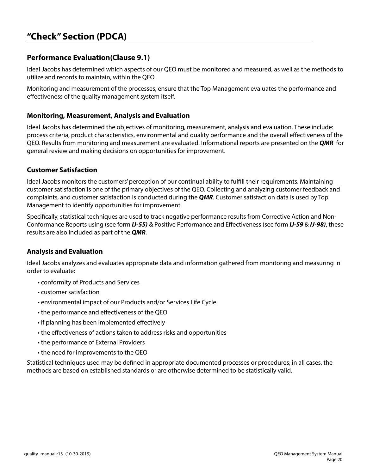# **"Check" Section (PDCA)**

# **Performance Evaluation(Clause 9.1)**

Ideal Jacobs has determined which aspects of our QEO must be monitored and measured, as well as the methods to utilize and records to maintain, within the QEO.

Monitoring and measurement of the processes, ensure that the Top Management evaluates the performance and effectiveness of the quality management system itself.

#### **Monitoring, Measurement, Analysis and Evaluation**

Ideal Jacobs has determined the objectives of monitoring, measurement, analysis and evaluation. These include: process criteria, product characteristics, environmental and quality performance and the overall effectiveness of the QEO. Results from monitoring and measurement are evaluated. Informational reports are presented on the *QMR* for general review and making decisions on opportunities for improvement.

#### **Customer Satisfaction**

Ideal Jacobs monitors the customers' perception of our continual ability to fulfill their requirements. Maintaining customer satisfaction is one of the primary objectives of the QEO. Collecting and analyzing customer feedback and complaints, and customer satisfaction is conducted during the *QMR*. Customer satisfaction data is used by Top Management to identify opportunities for improvement.

Specifically, statistical techniques are used to track negative performance results from Corrective Action and Non-Conformance Reports using (see form *IJ-55)* & Positive Performance and Effectiveness (see form *IJ-59* & *IJ-98)*, these results are also included as part of the *QMR*.

#### **Analysis and Evaluation**

Ideal Jacobs analyzes and evaluates appropriate data and information gathered from monitoring and measuring in order to evaluate:

- conformity of Products and Services
- customer satisfaction
- environmental impact of our Products and/or Services Life Cycle
- the performance and effectiveness of the QEO
- if planning has been implemented effectively
- the effectiveness of actions taken to address risks and opportunities
- the performance of External Providers
- the need for improvements to the QEO

Statistical techniques used may be defined in appropriate documented processes or procedures; in all cases, the methods are based on established standards or are otherwise determined to be statistically valid.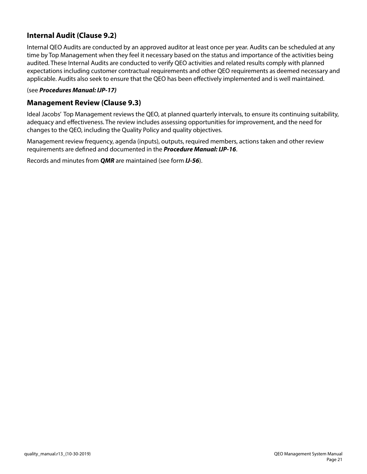# **Internal Audit (Clause 9.2)**

Internal QEO Audits are conducted by an approved auditor at least once per year. Audits can be scheduled at any time by Top Management when they feel it necessary based on the status and importance of the activities being audited. These Internal Audits are conducted to verify QEO activities and related results comply with planned expectations including customer contractual requirements and other QEO requirements as deemed necessary and applicable. Audits also seek to ensure that the QEO has been effectively implemented and is well maintained.

#### (see *Procedures Manual: IJP-17)*

#### **Management Review (Clause 9.3)**

Ideal Jacobs' Top Management reviews the QEO, at planned quarterly intervals, to ensure its continuing suitability, adequacy and effectiveness. The review includes assessing opportunities for improvement, and the need for changes to the QEO, including the Quality Policy and quality objectives.

Management review frequency, agenda (inputs), outputs, required members, actions taken and other review requirements are defined and documented in the *Procedure Manual: IJP-16*.

Records and minutes from *QMR* are maintained (see form *IJ-56*).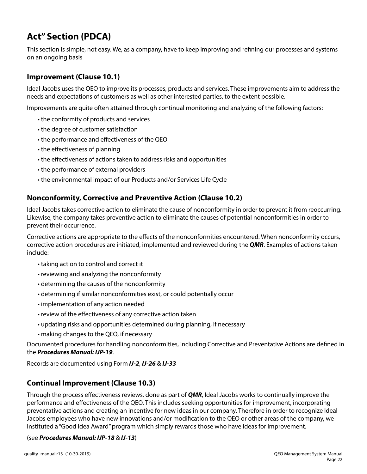# **Act" Section (PDCA)**

This section is simple, not easy. We, as a company, have to keep improving and refining our processes and systems on an ongoing basis

#### **Improvement (Clause 10.1)**

Ideal Jacobs uses the QEO to improve its processes, products and services. These improvements aim to address the needs and expectations of customers as well as other interested parties, to the extent possible.

Improvements are quite often attained through continual monitoring and analyzing of the following factors:

- the conformity of products and services
- the degree of customer satisfaction
- the performance and effectiveness of the QEO
- the effectiveness of planning
- the effectiveness of actions taken to address risks and opportunities
- the performance of external providers
- the environmental impact of our Products and/or Services Life Cycle

#### **Nonconformity, Corrective and Preventive Action (Clause 10.2)**

Ideal Jacobs takes corrective action to eliminate the cause of nonconformity in order to prevent it from reoccurring. Likewise, the company takes preventive action to eliminate the causes of potential nonconformities in order to prevent their occurrence.

Corrective actions are appropriate to the effects of the nonconformities encountered. When nonconformity occurs, corrective action procedures are initiated, implemented and reviewed during the *QMR*. Examples of actions taken include:

- taking action to control and correct it
- reviewing and analyzing the nonconformity
- determining the causes of the nonconformity
- determining if similar nonconformities exist, or could potentially occur
- implementation of any action needed
- review of the effectiveness of any corrective action taken
- updating risks and opportunities determined during planning, if necessary
- making changes to the QEO, if necessary

Documented procedures for handling nonconformities, including Corrective and Preventative Actions are defined in the *Procedures Manual: IJP-19*.

Records are documented using Form *IJ-2*, *IJ-26* & *IJ-33*

# **Continual Improvement (Clause 10.3)**

Through the process effectiveness reviews, done as part of *QMR*, Ideal Jacobs works to continually improve the performance and effectiveness of the QEO. This includes seeking opportunities for improvement, incorporating preventative actions and creating an incentive for new ideas in our company. Therefore in order to recognize Ideal Jacobs employees who have new innovations and/or modification to the QEO or other areas of the company, we instituted a "Good Idea Award" program which simply rewards those who have ideas for improvement.

#### (see *Procedures Manual: IJP-18* & *IJ-13*)